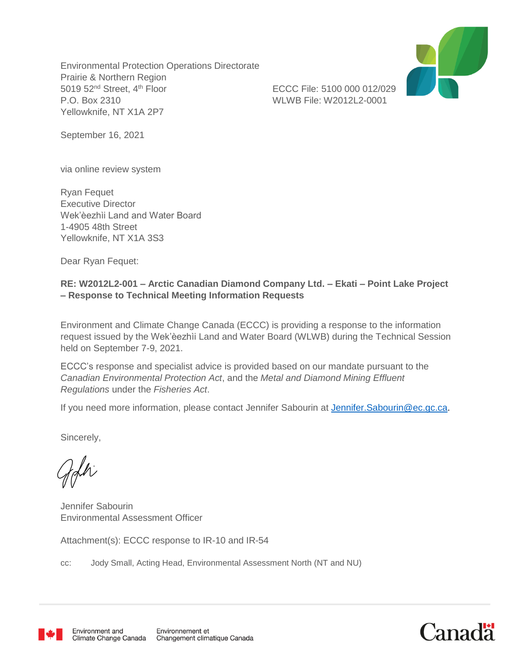Environmental Protection Operations Directorate Prairie & Northern Region 5019 52<sup>nd</sup> Street, 4<sup>th</sup> Floor ECCC File: 5100 000 012/029 P.O. Box 2310 WLWB File: W2012L2-0001 Yellowknife, NT X1A 2P7



September 16, 2021

via online review system

Ryan Fequet Executive Director Wek'èezhìi Land and Water Board 1-4905 48th Street Yellowknife, NT X1A 3S3

Dear Ryan Fequet:

## **RE: W2012L2-001 – Arctic Canadian Diamond Company Ltd. – Ekati – Point Lake Project – Response to Technical Meeting Information Requests**

Environment and Climate Change Canada (ECCC) is providing a response to the information request issued by the Wek'èezhìi Land and Water Board (WLWB) during the Technical Session held on September 7-9, 2021.

ECCC's response and specialist advice is provided based on our mandate pursuant to the *Canadian Environmental Protection Act*, and the *Metal and Diamond Mining Effluent Regulations* under the *Fisheries Act*.

If you need more information, please contact Jennifer Sabourin at [Jennifer.Sabourin@ec.gc.ca.](mailto:Jennifer.Sabourin@ec.gc.ca)

Sincerely,

Jennifer Sabourin Environmental Assessment Officer

Attachment(s): ECCC response to IR-10 and IR-54

cc: Jody Small, Acting Head, Environmental Assessment North (NT and NU)



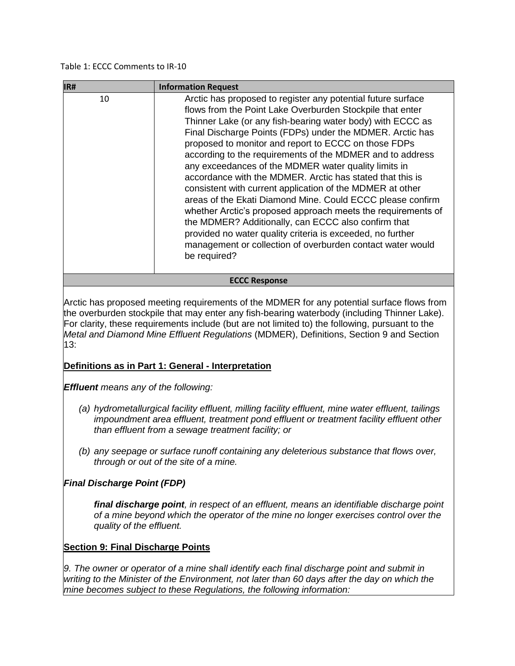#### Table 1: ECCC Comments to IR-10

| IR#                  | <b>Information Request</b>                                                                                                                                                                                                                                                                                                                                                                                                                                                                                                                                                                                                                                                                                                                                                                                                                                                                   |
|----------------------|----------------------------------------------------------------------------------------------------------------------------------------------------------------------------------------------------------------------------------------------------------------------------------------------------------------------------------------------------------------------------------------------------------------------------------------------------------------------------------------------------------------------------------------------------------------------------------------------------------------------------------------------------------------------------------------------------------------------------------------------------------------------------------------------------------------------------------------------------------------------------------------------|
| 10                   | Arctic has proposed to register any potential future surface<br>flows from the Point Lake Overburden Stockpile that enter<br>Thinner Lake (or any fish-bearing water body) with ECCC as<br>Final Discharge Points (FDPs) under the MDMER. Arctic has<br>proposed to monitor and report to ECCC on those FDPs<br>according to the requirements of the MDMER and to address<br>any exceedances of the MDMER water quality limits in<br>accordance with the MDMER. Arctic has stated that this is<br>consistent with current application of the MDMER at other<br>areas of the Ekati Diamond Mine. Could ECCC please confirm<br>whether Arctic's proposed approach meets the requirements of<br>the MDMER? Additionally, can ECCC also confirm that<br>provided no water quality criteria is exceeded, no further<br>management or collection of overburden contact water would<br>be required? |
| <b>ECCC Response</b> |                                                                                                                                                                                                                                                                                                                                                                                                                                                                                                                                                                                                                                                                                                                                                                                                                                                                                              |

Arctic has proposed meeting requirements of the MDMER for any potential surface flows from the overburden stockpile that may enter any fish-bearing waterbody (including Thinner Lake). For clarity, these requirements include (but are not limited to) the following, pursuant to the *Metal and Diamond Mine Effluent Regulations* (MDMER), Definitions, Section 9 and Section 13:

### **Definitions as in Part 1: General - Interpretation**

*Effluent means any of the following:*

- *(a) hydrometallurgical facility effluent, milling facility effluent, mine water effluent, tailings impoundment area effluent, treatment pond effluent or treatment facility effluent other than effluent from a sewage treatment facility; or*
- *(b) any seepage or surface runoff containing any deleterious substance that flows over, through or out of the site of a mine.*

### *Final Discharge Point (FDP)*

*final discharge point, in respect of an effluent, means an identifiable discharge point of a mine beyond which the operator of the mine no longer exercises control over the quality of the effluent.*

#### **Section 9: Final Discharge Points**

*9. The owner or operator of a mine shall identify each final discharge point and submit in writing to the Minister of the Environment, not later than 60 days after the day on which the mine becomes subject to these Regulations, the following information:*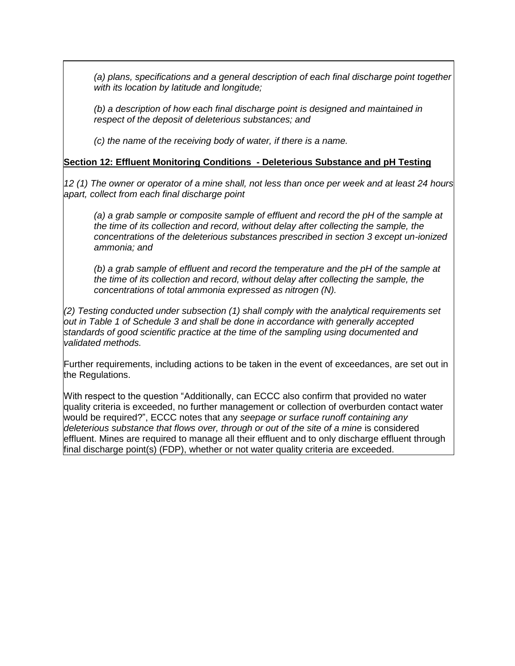*(a) plans, specifications and a general description of each final discharge point together with its location by latitude and longitude;*

*(b) a description of how each final discharge point is designed and maintained in respect of the deposit of deleterious substances; and* 

*(c) the name of the receiving body of water, if there is a name.*

#### **Section 12: Effluent Monitoring Conditions - Deleterious Substance and pH Testing**

*12 (1) The owner or operator of a mine shall, not less than once per week and at least 24 hours apart, collect from each final discharge point*

*(a) a grab sample or composite sample of effluent and record the pH of the sample at the time of its collection and record, without delay after collecting the sample, the concentrations of the deleterious substances prescribed in section 3 except un-ionized ammonia; and*

*(b) a grab sample of effluent and record the temperature and the pH of the sample at the time of its collection and record, without delay after collecting the sample, the concentrations of total ammonia expressed as nitrogen (N).*

*(2) Testing conducted under subsection (1) shall comply with the analytical requirements set out in Table 1 of Schedule 3 and shall be done in accordance with generally accepted standards of good scientific practice at the time of the sampling using documented and validated methods.*

Further requirements, including actions to be taken in the event of exceedances, are set out in the Regulations.

With respect to the question "Additionally, can ECCC also confirm that provided no water quality criteria is exceeded, no further management or collection of overburden contact water would be required?", ECCC notes that any *seepage or surface runoff containing any deleterious substance that flows over, through or out of the site of a mine* is considered effluent. Mines are required to manage all their effluent and to only discharge effluent through final discharge point(s) (FDP), whether or not water quality criteria are exceeded.